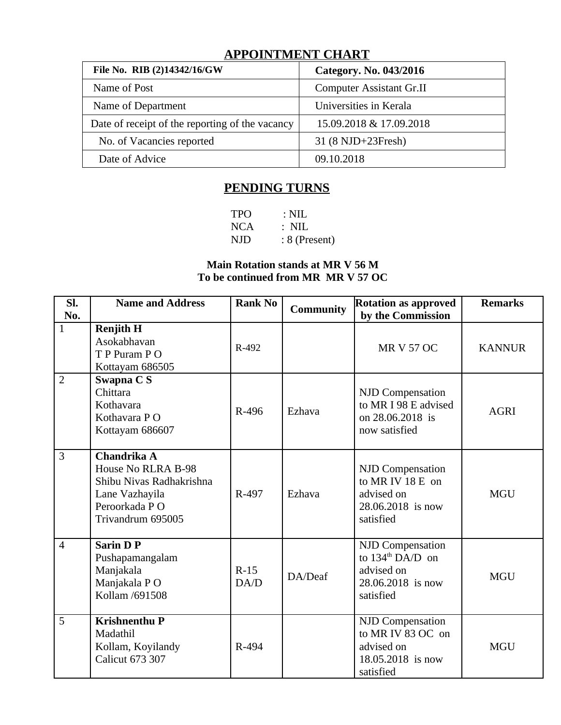# **APPOINTMENT CHART**

| File No. RIB (2)14342/16/GW                     | Category. No. 043/2016          |
|-------------------------------------------------|---------------------------------|
| Name of Post                                    | <b>Computer Assistant Gr.II</b> |
| Name of Department                              | Universities in Kerala          |
| Date of receipt of the reporting of the vacancy | 15.09.2018 & 17.09.2018         |
| No. of Vacancies reported                       | 31 (8 NJD+23Fresh)              |
| Date of Advice                                  | 09.10.2018                      |

# **PENDING TURNS**

| <b>TPO</b> | $\therefore$ NIL |
|------------|------------------|
| <b>NCA</b> | $\therefore$ NIL |
| NJD        | $: 8$ (Present)  |

### **Main Rotation stands at MR V 56 M To be continued from MR MR V 57 OC**

| SI.<br>No.     | <b>Name and Address</b>                                                                                               | <b>Rank No</b> | <b>Community</b> | <b>Rotation as approved</b><br>by the Commission                                                        |               |
|----------------|-----------------------------------------------------------------------------------------------------------------------|----------------|------------------|---------------------------------------------------------------------------------------------------------|---------------|
| $\mathbf{1}$   | <b>Renjith H</b><br>Asokabhavan<br>T P Puram P O<br>Kottayam 686505                                                   | R-492          |                  | <b>MR V 57 OC</b>                                                                                       | <b>KANNUR</b> |
| $\overline{2}$ | Swapna C S<br>Chittara<br>Kothavara<br>Kothavara PO<br>Kottayam 686607                                                | R-496          | Ezhava           | <b>NJD Compensation</b><br>to MR I 98 E advised<br>on 28.06.2018 is<br>now satisfied                    | <b>AGRI</b>   |
| 3              | Chandrika A<br>House No RLRA B-98<br>Shibu Nivas Radhakrishna<br>Lane Vazhayila<br>Peroorkada PO<br>Trivandrum 695005 | R-497          | Ezhava           | <b>NJD Compensation</b><br>to MR IV 18 E on<br>advised on<br>28.06.2018 is now<br>satisfied             | <b>MGU</b>    |
| $\overline{4}$ | <b>Sarin D P</b><br>Pushapamangalam<br>Manjakala<br>Manjakala PO<br>Kollam /691508                                    | $R-15$<br>DA/D | DA/Deaf          | <b>NJD Compensation</b><br>to $134^{\text{th}}$ DA/D on<br>advised on<br>28.06.2018 is now<br>satisfied | <b>MGU</b>    |
| 5              | <b>Krishnenthu P</b><br>Madathil<br>Kollam, Koyilandy<br>Calicut 673 307                                              | R-494          |                  | <b>NJD Compensation</b><br>to MR IV 83 OC on<br>advised on<br>18.05.2018 is now<br>satisfied            | <b>MGU</b>    |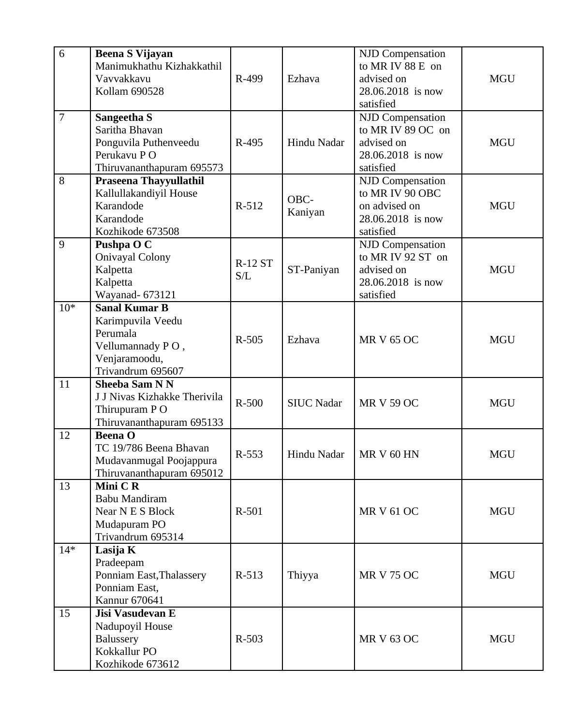| 6              | <b>Beena S Vijayan</b><br>Manimukhathu Kizhakkathil<br>Vavvakkavu<br>Kollam 690528                              | R-499                 | Ezhava            | <b>NJD Compensation</b><br>to MR IV 88 E on<br>advised on<br>28.06.2018 is now<br>satisfied   | <b>MGU</b> |
|----------------|-----------------------------------------------------------------------------------------------------------------|-----------------------|-------------------|-----------------------------------------------------------------------------------------------|------------|
| $\overline{7}$ | Sangeetha S<br>Saritha Bhavan<br>Ponguvila Puthenveedu<br>Perukavu PO<br>Thiruvananthapuram 695573              | R-495                 | Hindu Nadar       | <b>NJD Compensation</b><br>to MR IV 89 OC on<br>advised on<br>28.06.2018 is now<br>satisfied  | <b>MGU</b> |
| 8              | Praseena Thayyullathil<br>Kallullakandiyil House<br>Karandode<br>Karandode<br>Kozhikode 673508                  | $R-512$               | OBC-<br>Kaniyan   | <b>NJD Compensation</b><br>to MR IV 90 OBC<br>on advised on<br>28.06.2018 is now<br>satisfied | <b>MGU</b> |
| 9              | Pushpa O C<br><b>Onivayal Colony</b><br>Kalpetta<br>Kalpetta<br><b>Wayanad-673121</b>                           | <b>R-12 ST</b><br>S/L | ST-Paniyan        | <b>NJD Compensation</b><br>to MR IV 92 ST on<br>advised on<br>28.06.2018 is now<br>satisfied  | <b>MGU</b> |
| $10*$          | <b>Sanal Kumar B</b><br>Karimpuvila Veedu<br>Perumala<br>Vellumannady PO,<br>Venjaramoodu,<br>Trivandrum 695607 | R-505                 | Ezhava            | <b>MR V 65 OC</b>                                                                             | <b>MGU</b> |
| 11             | <b>Sheeba Sam N N</b><br>J J Nivas Kizhakke Therivila<br>Thirupuram PO<br>Thiruvananthapuram 695133             | R-500                 | <b>SIUC Nadar</b> | <b>MR V 59 OC</b>                                                                             | <b>MGU</b> |
| 12             | <b>Beena O</b><br>TC 19/786 Beena Bhavan<br>Mudavanmugal Poojappura<br>Thiruvananthapuram 695012                | R-553                 | Hindu Nadar       | $MKV$ 60 HN                                                                                   | MGU        |
| 13             | Mini CR<br>Babu Mandiram<br>Near N E S Block<br>Mudapuram PO<br>Trivandrum 695314                               | R-501                 |                   | <b>MR V 61 OC</b>                                                                             | <b>MGU</b> |
| $14*$          | Lasija K<br>Pradeepam<br>Ponniam East, Thalassery<br>Ponniam East,<br>Kannur 670641                             | $R-513$               | Thiyya            | <b>MR V 75 OC</b>                                                                             | <b>MGU</b> |
| 15             | Jisi Vasudevan E<br>Nadupoyil House<br><b>Balussery</b><br>Kokkallur PO<br>Kozhikode 673612                     | R-503                 |                   | <b>MR V 63 OC</b>                                                                             | <b>MGU</b> |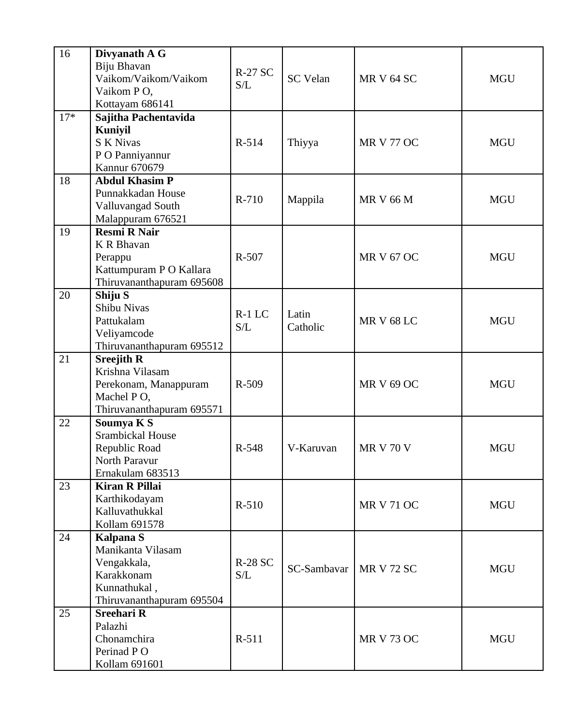| 16    | Divyanath A G<br>Biju Bhavan<br>Vaikom/Vaikom/Vaikom<br>Vaikom PO,<br>Kottayam 686141                           | <b>R-27 SC</b><br>S/L | <b>SC</b> Velan   | <b>MR V 64 SC</b> | <b>MGU</b> |
|-------|-----------------------------------------------------------------------------------------------------------------|-----------------------|-------------------|-------------------|------------|
| $17*$ | Sajitha Pachentavida<br><b>Kuniyil</b><br><b>S K Nivas</b><br>P O Panniyannur<br><b>Kannur 670679</b>           | R-514                 | Thiyya            | <b>MR V 77 OC</b> | <b>MGU</b> |
| 18    | <b>Abdul Khasim P</b><br>Punnakkadan House<br>Valluvangad South<br>Malappuram 676521                            | R-710                 | Mappila           | <b>MR V 66 M</b>  | <b>MGU</b> |
| 19    | <b>Resmi R Nair</b><br><b>K R Bhavan</b><br>Perappu<br>Kattumpuram P O Kallara<br>Thiruvananthapuram 695608     | R-507                 |                   | <b>MR V 67 OC</b> | <b>MGU</b> |
| 20    | Shiju <sub>S</sub><br>Shibu Nivas<br>Pattukalam<br>Veliyamcode<br>Thiruvananthapuram 695512                     | $R-1$ LC<br>S/L       | Latin<br>Catholic | <b>MR V 68 LC</b> | <b>MGU</b> |
| 21    | <b>Sreejith R</b><br>Krishna Vilasam<br>Perekonam, Manappuram<br>Machel PO,<br>Thiruvananthapuram 695571        | R-509                 |                   | <b>MR V 69 OC</b> | <b>MGU</b> |
| 22    | Soumya K S<br>Srambickal House<br>Republic Road<br>North Paravur<br>Ernakulam 683513                            | R-548                 | V-Karuvan         | <b>MR V 70 V</b>  | <b>MGU</b> |
| 23    | <b>Kiran R Pillai</b><br>Karthikodayam<br>Kalluvathukkal<br>Kollam 691578                                       | R-510                 |                   | <b>MR V 71 OC</b> | MGU        |
| 24    | <b>Kalpana S</b><br>Manikanta Vilasam<br>Vengakkala,<br>Karakkonam<br>Kunnathukal,<br>Thiruvananthapuram 695504 | <b>R-28 SC</b><br>S/L | SC-Sambavar       | MR V 72 SC        | <b>MGU</b> |
| 25    | <b>Sreehari R</b><br>Palazhi<br>Chonamchira<br>Perinad PO<br>Kollam 691601                                      | R-511                 |                   | <b>MR V 73 OC</b> | <b>MGU</b> |